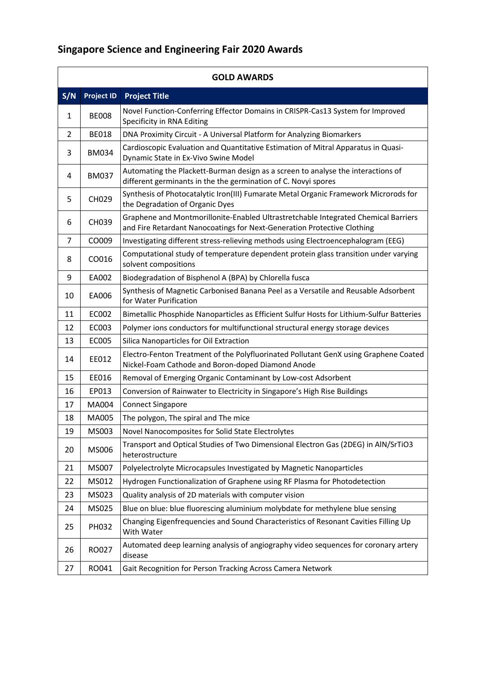| <b>GOLD AWARDS</b> |                   |                                                                                                                                                               |
|--------------------|-------------------|---------------------------------------------------------------------------------------------------------------------------------------------------------------|
| S/N                | <b>Project ID</b> | <b>Project Title</b>                                                                                                                                          |
| 1                  | <b>BE008</b>      | Novel Function-Conferring Effector Domains in CRISPR-Cas13 System for Improved<br>Specificity in RNA Editing                                                  |
| $\overline{2}$     | <b>BE018</b>      | DNA Proximity Circuit - A Universal Platform for Analyzing Biomarkers                                                                                         |
| 3                  | <b>BM034</b>      | Cardioscopic Evaluation and Quantitative Estimation of Mitral Apparatus in Quasi-<br>Dynamic State in Ex-Vivo Swine Model                                     |
| 4                  | <b>BM037</b>      | Automating the Plackett-Burman design as a screen to analyse the interactions of<br>different germinants in the the germination of C. Novyi spores            |
| 5                  | CH029             | Synthesis of Photocatalytic Iron(III) Fumarate Metal Organic Framework Microrods for<br>the Degradation of Organic Dyes                                       |
| 6                  | CH039             | Graphene and Montmorillonite-Enabled Ultrastretchable Integrated Chemical Barriers<br>and Fire Retardant Nanocoatings for Next-Generation Protective Clothing |
| 7                  | CO009             | Investigating different stress-relieving methods using Electroencephalogram (EEG)                                                                             |
| 8                  | CO016             | Computational study of temperature dependent protein glass transition under varying<br>solvent compositions                                                   |
| 9                  | EA002             | Biodegradation of Bisphenol A (BPA) by Chlorella fusca                                                                                                        |
| 10                 | EA006             | Synthesis of Magnetic Carbonised Banana Peel as a Versatile and Reusable Adsorbent<br>for Water Purification                                                  |
| 11                 | EC002             | Bimetallic Phosphide Nanoparticles as Efficient Sulfur Hosts for Lithium-Sulfur Batteries                                                                     |
| 12                 | EC003             | Polymer ions conductors for multifunctional structural energy storage devices                                                                                 |
| 13                 | <b>EC005</b>      | Silica Nanoparticles for Oil Extraction                                                                                                                       |
| 14                 | EE012             | Electro-Fenton Treatment of the Polyfluorinated Pollutant GenX using Graphene Coated<br>Nickel-Foam Cathode and Boron-doped Diamond Anode                     |
| 15                 | EE016             | Removal of Emerging Organic Contaminant by Low-cost Adsorbent                                                                                                 |
| 16                 | EP013             | Conversion of Rainwater to Electricity in Singapore's High Rise Buildings                                                                                     |
| 17                 | MA004             | <b>Connect Singapore</b>                                                                                                                                      |
| 18                 | MA005             | The polygon, The spiral and The mice                                                                                                                          |
| 19                 | MS003             | Novel Nanocomposites for Solid State Electrolytes                                                                                                             |
| 20                 | MS006             | Transport and Optical Studies of Two Dimensional Electron Gas (2DEG) in AIN/SrTiO3<br>heterostructure                                                         |
| 21                 | MS007             | Polyelectrolyte Microcapsules Investigated by Magnetic Nanoparticles                                                                                          |
| 22                 | MS012             | Hydrogen Functionalization of Graphene using RF Plasma for Photodetection                                                                                     |
| 23                 | MS023             | Quality analysis of 2D materials with computer vision                                                                                                         |
| 24                 | MS025             | Blue on blue: blue fluorescing aluminium molybdate for methylene blue sensing                                                                                 |
| 25                 | PH032             | Changing Eigenfrequencies and Sound Characteristics of Resonant Cavities Filling Up<br>With Water                                                             |
| 26                 | RO027             | Automated deep learning analysis of angiography video sequences for coronary artery<br>disease                                                                |
| 27                 | RO041             | Gait Recognition for Person Tracking Across Camera Network                                                                                                    |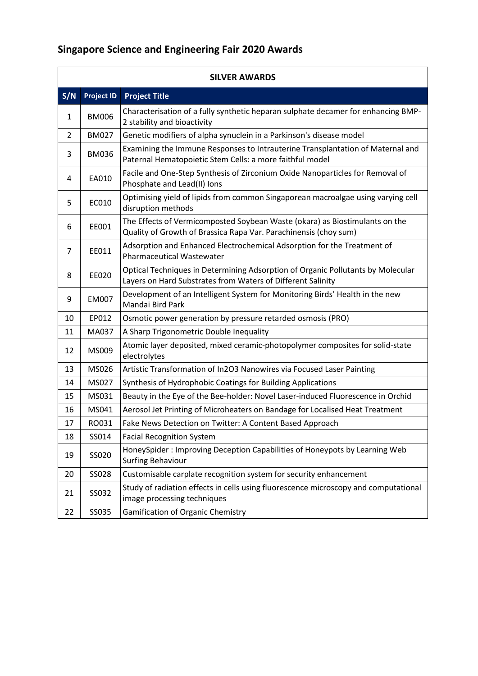| <b>SILVER AWARDS</b> |                   |                                                                                                                                                 |  |
|----------------------|-------------------|-------------------------------------------------------------------------------------------------------------------------------------------------|--|
| S/N                  | <b>Project ID</b> | <b>Project Title</b>                                                                                                                            |  |
| 1                    | <b>BM006</b>      | Characterisation of a fully synthetic heparan sulphate decamer for enhancing BMP-<br>2 stability and bioactivity                                |  |
| $\overline{2}$       | <b>BM027</b>      | Genetic modifiers of alpha synuclein in a Parkinson's disease model                                                                             |  |
| 3                    | <b>BM036</b>      | Examining the Immune Responses to Intrauterine Transplantation of Maternal and<br>Paternal Hematopoietic Stem Cells: a more faithful model      |  |
| 4                    | EA010             | Facile and One-Step Synthesis of Zirconium Oxide Nanoparticles for Removal of<br>Phosphate and Lead(II) Ions                                    |  |
| 5                    | EC010             | Optimising yield of lipids from common Singaporean macroalgae using varying cell<br>disruption methods                                          |  |
| 6                    | EE001             | The Effects of Vermicomposted Soybean Waste (okara) as Biostimulants on the<br>Quality of Growth of Brassica Rapa Var. Parachinensis (choy sum) |  |
| 7                    | EE011             | Adsorption and Enhanced Electrochemical Adsorption for the Treatment of<br><b>Pharmaceutical Wastewater</b>                                     |  |
| 8                    | EE020             | Optical Techniques in Determining Adsorption of Organic Pollutants by Molecular<br>Layers on Hard Substrates from Waters of Different Salinity  |  |
| 9                    | <b>EM007</b>      | Development of an Intelligent System for Monitoring Birds' Health in the new<br>Mandai Bird Park                                                |  |
| 10                   | EP012             | Osmotic power generation by pressure retarded osmosis (PRO)                                                                                     |  |
| 11                   | MA037             | A Sharp Trigonometric Double Inequality                                                                                                         |  |
| 12                   | MS009             | Atomic layer deposited, mixed ceramic-photopolymer composites for solid-state<br>electrolytes                                                   |  |
| 13                   | MS026             | Artistic Transformation of In2O3 Nanowires via Focused Laser Painting                                                                           |  |
| 14                   | MS027             | Synthesis of Hydrophobic Coatings for Building Applications                                                                                     |  |
| 15                   | MS031             | Beauty in the Eye of the Bee-holder: Novel Laser-induced Fluorescence in Orchid                                                                 |  |
| 16                   | MS041             | Aerosol Jet Printing of Microheaters on Bandage for Localised Heat Treatment                                                                    |  |
| 17                   | RO031             | Fake News Detection on Twitter: A Content Based Approach                                                                                        |  |
| 18                   | SS014             | <b>Facial Recognition System</b>                                                                                                                |  |
| 19                   | SS020             | HoneySpider: Improving Deception Capabilities of Honeypots by Learning Web<br><b>Surfing Behaviour</b>                                          |  |
| 20                   | SS028             | Customisable carplate recognition system for security enhancement                                                                               |  |
| 21                   | SS032             | Study of radiation effects in cells using fluorescence microscopy and computational<br>image processing techniques                              |  |
| 22                   | SS035             | <b>Gamification of Organic Chemistry</b>                                                                                                        |  |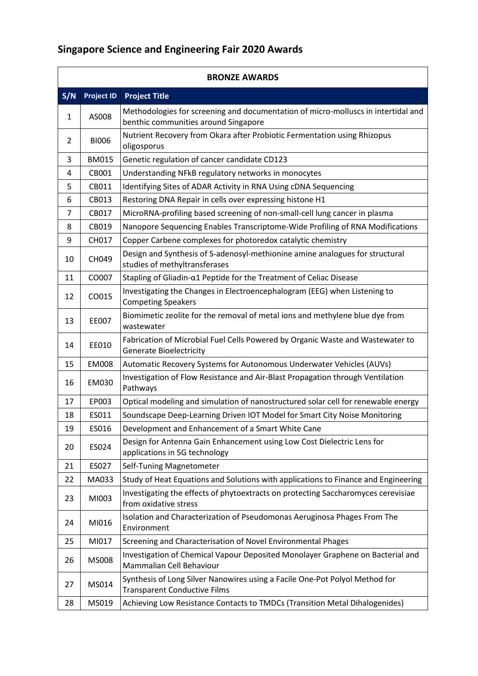r

| <b>BRONZE AWARDS</b> |                   |                                                                                                                           |
|----------------------|-------------------|---------------------------------------------------------------------------------------------------------------------------|
| S/N                  | <b>Project ID</b> | <b>Project Title</b>                                                                                                      |
| 1                    | AS008             | Methodologies for screening and documentation of micro-molluscs in intertidal and<br>benthic communities around Singapore |
| 2                    | <b>BI006</b>      | Nutrient Recovery from Okara after Probiotic Fermentation using Rhizopus<br>oligosporus                                   |
| 3                    | <b>BM015</b>      | Genetic regulation of cancer candidate CD123                                                                              |
| 4                    | CB001             | Understanding NFkB regulatory networks in monocytes                                                                       |
| 5                    | CB011             | Identifying Sites of ADAR Activity in RNA Using cDNA Sequencing                                                           |
| 6                    | CB013             | Restoring DNA Repair in cells over expressing histone H1                                                                  |
| $\overline{7}$       | CB017             | MicroRNA-profiling based screening of non-small-cell lung cancer in plasma                                                |
| 8                    | CB019             | Nanopore Sequencing Enables Transcriptome-Wide Profiling of RNA Modifications                                             |
| 9                    | CH017             | Copper Carbene complexes for photoredox catalytic chemistry                                                               |
| 10                   | CH049             | Design and Synthesis of S-adenosyl-methionine amine analogues for structural<br>studies of methyltransferases             |
| 11                   | CO007             | Stapling of Gliadin-α1 Peptide for the Treatment of Celiac Disease                                                        |
| 12                   | CO015             | Investigating the Changes in Electroencephalogram (EEG) when Listening to<br><b>Competing Speakers</b>                    |
| 13                   | EE007             | Biomimetic zeolite for the removal of metal ions and methylene blue dye from<br>wastewater                                |
| 14                   | EE010             | Fabrication of Microbial Fuel Cells Powered by Organic Waste and Wastewater to<br><b>Generate Bioelectricity</b>          |
| 15                   | <b>EM008</b>      | Automatic Recovery Systems for Autonomous Underwater Vehicles (AUVs)                                                      |
| 16                   | EM030             | Investigation of Flow Resistance and Air-Blast Propagation through Ventilation<br>Pathways                                |
| 17                   | EP003             | Optical modeling and simulation of nanostructured solar cell for renewable energy                                         |
| 18                   | ES011             | Soundscape Deep-Learning Driven IOT Model for Smart City Noise Monitoring                                                 |
| 19                   | ES016             | Development and Enhancement of a Smart White Cane                                                                         |
| 20                   | ES024             | Design for Antenna Gain Enhancement using Low Cost Dielectric Lens for<br>applications in 5G technology                   |
| 21                   | ES027             | Self-Tuning Magnetometer                                                                                                  |
| 22                   | MA033             | Study of Heat Equations and Solutions with applications to Finance and Engineering                                        |
| 23                   | MI003             | Investigating the effects of phytoextracts on protecting Saccharomyces cerevisiae<br>from oxidative stress                |
| 24                   | MI016             | Isolation and Characterization of Pseudomonas Aeruginosa Phages From The<br>Environment                                   |
| 25                   | MI017             | Screening and Characterisation of Novel Environmental Phages                                                              |
| 26                   | MS008             | Investigation of Chemical Vapour Deposited Monolayer Graphene on Bacterial and<br>Mammalian Cell Behaviour                |
| 27                   | MS014             | Synthesis of Long Silver Nanowires using a Facile One-Pot Polyol Method for<br><b>Transparent Conductive Films</b>        |
| 28                   | MS019             | Achieving Low Resistance Contacts to TMDCs (Transition Metal Dihalogenides)                                               |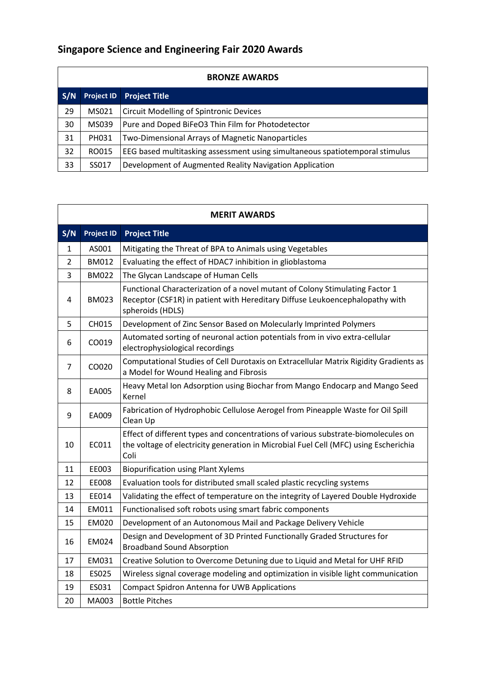| <b>BRONZE AWARDS</b> |                   |                                                                              |
|----------------------|-------------------|------------------------------------------------------------------------------|
| S/N                  | <b>Project ID</b> | <b>Project Title</b>                                                         |
| 29                   | MS021             | <b>Circuit Modelling of Spintronic Devices</b>                               |
| 30                   | MS039             | Pure and Doped BiFeO3 Thin Film for Photodetector                            |
| 31                   | PH031             | Two-Dimensional Arrays of Magnetic Nanoparticles                             |
| 32                   | RO015             | EEG based multitasking assessment using simultaneous spatiotemporal stimulus |
| 33                   | SS017             | Development of Augmented Reality Navigation Application                      |

<u> 1989 - Andrea San Andrea San Andrea San Andrea San Andrea San Andrea San Andrea San Andrea San Andrea San An</u>

| <b>MERIT AWARDS</b> |                   |                                                                                                                                                                                   |
|---------------------|-------------------|-----------------------------------------------------------------------------------------------------------------------------------------------------------------------------------|
| S/N                 | <b>Project ID</b> | <b>Project Title</b>                                                                                                                                                              |
| 1                   | AS001             | Mitigating the Threat of BPA to Animals using Vegetables                                                                                                                          |
| 2                   | <b>BM012</b>      | Evaluating the effect of HDAC7 inhibition in glioblastoma                                                                                                                         |
| 3                   | <b>BM022</b>      | The Glycan Landscape of Human Cells                                                                                                                                               |
| 4                   | <b>BM023</b>      | Functional Characterization of a novel mutant of Colony Stimulating Factor 1<br>Receptor (CSF1R) in patient with Hereditary Diffuse Leukoencephalopathy with<br>spheroids (HDLS)  |
| 5                   | CH015             | Development of Zinc Sensor Based on Molecularly Imprinted Polymers                                                                                                                |
| 6                   | CO019             | Automated sorting of neuronal action potentials from in vivo extra-cellular<br>electrophysiological recordings                                                                    |
| 7                   | CO020             | Computational Studies of Cell Durotaxis on Extracellular Matrix Rigidity Gradients as<br>a Model for Wound Healing and Fibrosis                                                   |
| 8                   | EA005             | Heavy Metal Ion Adsorption using Biochar from Mango Endocarp and Mango Seed<br>Kernel                                                                                             |
| 9                   | EA009             | Fabrication of Hydrophobic Cellulose Aerogel from Pineapple Waste for Oil Spill<br>Clean Up                                                                                       |
| 10                  | EC011             | Effect of different types and concentrations of various substrate-biomolecules on<br>the voltage of electricity generation in Microbial Fuel Cell (MFC) using Escherichia<br>Coli |
| 11                  | EE003             | <b>Biopurification using Plant Xylems</b>                                                                                                                                         |
| 12                  | <b>EE008</b>      | Evaluation tools for distributed small scaled plastic recycling systems                                                                                                           |
| 13                  | EE014             | Validating the effect of temperature on the integrity of Layered Double Hydroxide                                                                                                 |
| 14                  | EM011             | Functionalised soft robots using smart fabric components                                                                                                                          |
| 15                  | <b>EM020</b>      | Development of an Autonomous Mail and Package Delivery Vehicle                                                                                                                    |
| 16                  | EM024             | Design and Development of 3D Printed Functionally Graded Structures for<br><b>Broadband Sound Absorption</b>                                                                      |
| 17                  | EM031             | Creative Solution to Overcome Detuning due to Liquid and Metal for UHF RFID                                                                                                       |
| 18                  | ES025             | Wireless signal coverage modeling and optimization in visible light communication                                                                                                 |
| 19                  | ES031             | <b>Compact Spidron Antenna for UWB Applications</b>                                                                                                                               |
| 20                  | MA003             | <b>Bottle Pitches</b>                                                                                                                                                             |